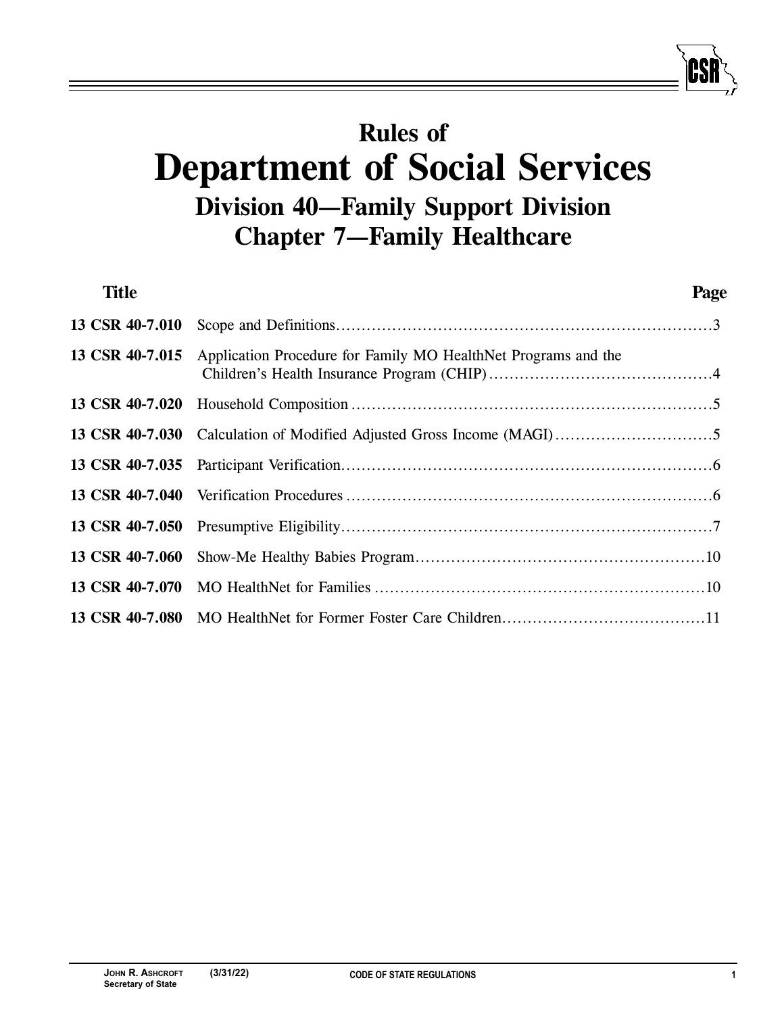# **Rules of Department of Social Services Division 40—Family Support Division Chapter 7—Family Healthcare**

| <b>Title</b>    |                                                                | Page |
|-----------------|----------------------------------------------------------------|------|
| 13 CSR 40-7.010 |                                                                |      |
| 13 CSR 40-7.015 | Application Procedure for Family MO HealthNet Programs and the |      |
|                 |                                                                |      |
|                 |                                                                |      |
|                 |                                                                |      |
|                 |                                                                |      |
|                 |                                                                |      |
|                 |                                                                |      |
|                 |                                                                |      |
|                 |                                                                |      |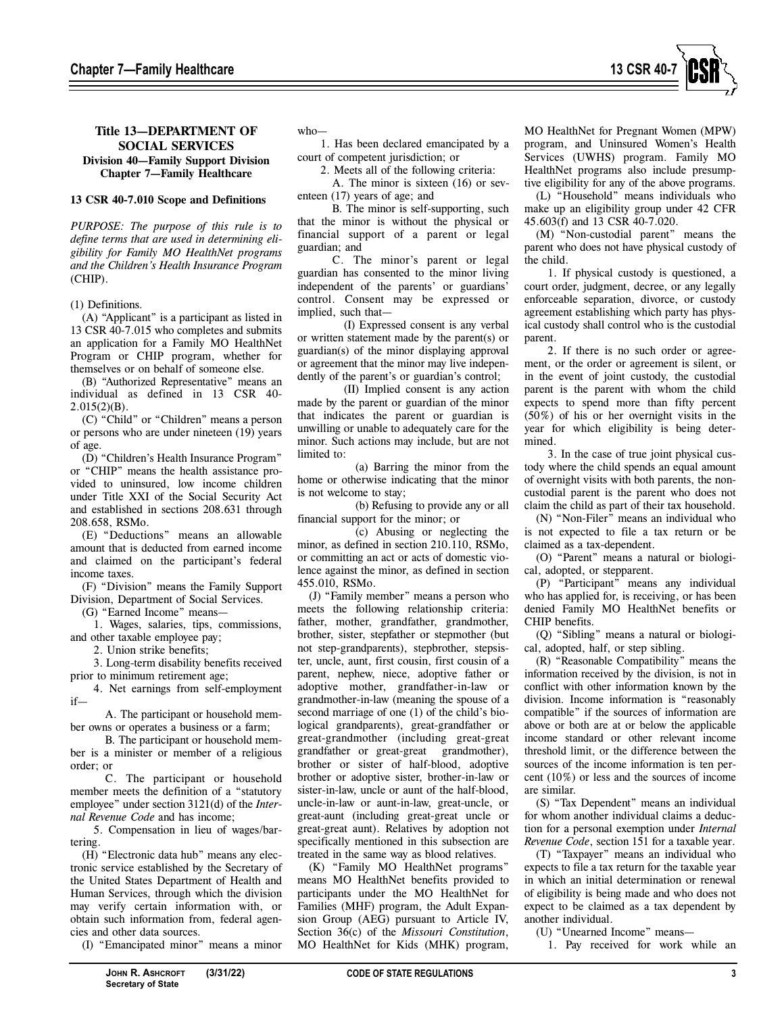

## **13 CSR 40-7.010 Scope and Definitions**

*PURPOSE: The purpose of this rule is to define terms that are used in determining eligibility for Family MO HealthNet programs and the Children's Health Insurance Program*  (CHIP).

#### (1) Definitions.

(A) "Applicant" is a participant as listed in 13 CSR 40-7.015 who completes and submits an application for a Family MO HealthNet Program or CHIP program, whether for themselves or on behalf of someone else.

(B) "Authorized Representative" means an individual as defined in 13 CSR 40-  $2.015(2)(B)$ .

(C) "Child" or "Children" means a person or persons who are under nineteen (19) years of age.

(D) "Children's Health Insurance Program" or "CHIP" means the health assistance provided to uninsured, low income children under Title XXI of the Social Security Act and established in sections 208.631 through 208.658, RSMo.

(E) "Deductions" means an allowable amount that is deducted from earned income and claimed on the participant's federal income taxes.

(F) "Division" means the Family Support Division, Department of Social Services.

(G) "Earned Income" means—

1. Wages, salaries, tips, commissions, and other taxable employee pay;

2. Union strike benefits; 3. Long-term disability benefits received

prior to minimum retirement age;

4. Net earnings from self-employment if—

A. The participant or household member owns or operates a business or a farm;

B. The participant or household member is a minister or member of a religious order; or

C. The participant or household member meets the definition of a "statutory employee" under section 3121(d) of the *Internal Revenue Code* and has income;

5. Compensation in lieu of wages/bartering.

(H) "Electronic data hub" means any electronic service established by the Secretary of the United States Department of Health and Human Services, through which the division may verify certain information with, or obtain such information from, federal agencies and other data sources.

(I) "Emancipated minor" means a minor

1. Has been declared emancipated by a court of competent jurisdiction; or

2. Meets all of the following criteria:

A. The minor is sixteen (16) or seventeen (17) years of age; and

B. The minor is self-supporting, such that the minor is without the physical or financial support of a parent or legal guardian; and

C. The minor's parent or legal guardian has consented to the minor living independent of the parents' or guardians' control. Consent may be expressed or implied, such that—

(I) Expressed consent is any verbal or written statement made by the parent(s) or guardian(s) of the minor displaying approval or agreement that the minor may live independently of the parent's or guardian's control;

(II) Implied consent is any action made by the parent or guardian of the minor that indicates the parent or guardian is unwilling or unable to adequately care for the minor. Such actions may include, but are not limited to:

(a) Barring the minor from the home or otherwise indicating that the minor is not welcome to stay;

(b) Refusing to provide any or all financial support for the minor; or

(c) Abusing or neglecting the minor, as defined in section 210.110, RSMo, or committing an act or acts of domestic violence against the minor, as defined in section 455.010, RSMo.

(J) "Family member" means a person who meets the following relationship criteria: father, mother, grandfather, grandmother, brother, sister, stepfather or stepmother (but not step-grandparents), stepbrother, stepsister, uncle, aunt, first cousin, first cousin of a parent, nephew, niece, adoptive father or adoptive mother, grandfather-in-law or grandmother-in-law (meaning the spouse of a second marriage of one (1) of the child's biological grandparents), great-grandfather or great-grandmother (including great-great grandfather or great-great grandmother), brother or sister of half-blood, adoptive brother or adoptive sister, brother-in-law or sister-in-law, uncle or aunt of the half-blood, uncle-in-law or aunt-in-law, great-uncle, or great-aunt (including great-great uncle or great-great aunt). Relatives by adoption not specifically mentioned in this subsection are treated in the same way as blood relatives.

(K) "Family MO HealthNet programs" means MO HealthNet benefits provided to participants under the MO HealthNet for Families (MHF) program, the Adult Expansion Group (AEG) pursuant to Article IV, Section 36(c) of the *Missouri Constitution*, MO HealthNet for Kids (MHK) program,

MO HealthNet for Pregnant Women (MPW) program, and Uninsured Women's Health Services (UWHS) program. Family MO HealthNet programs also include presumptive eligibility for any of the above programs.

(L) "Household" means individuals who make up an eligibility group under 42 CFR 45.603(f) and 13 CSR 40-7.020.

(M) "Non-custodial parent" means the parent who does not have physical custody of the child.

1. If physical custody is questioned, a court order, judgment, decree, or any legally enforceable separation, divorce, or custody agreement establishing which party has physical custody shall control who is the custodial parent.

2. If there is no such order or agreement, or the order or agreement is silent, or in the event of joint custody, the custodial parent is the parent with whom the child expects to spend more than fifty percent (50%) of his or her overnight visits in the year for which eligibility is being determined.

3. In the case of true joint physical custody where the child spends an equal amount of overnight visits with both parents, the noncustodial parent is the parent who does not claim the child as part of their tax household.

(N) "Non-Filer" means an individual who is not expected to file a tax return or be claimed as a tax-dependent.

(O) "Parent" means a natural or biological, adopted, or stepparent.

(P) "Participant" means any individual who has applied for, is receiving, or has been denied Family MO HealthNet benefits or CHIP benefits.

(Q) "Sibling" means a natural or biological, adopted, half, or step sibling.

(R) "Reasonable Compatibility" means the information received by the division, is not in conflict with other information known by the division. Income information is "reasonably compatible" if the sources of information are above or both are at or below the applicable income standard or other relevant income threshold limit, or the difference between the sources of the income information is ten percent (10%) or less and the sources of income are similar.

(S) "Tax Dependent" means an individual for whom another individual claims a deduction for a personal exemption under *Internal Revenue Code*, section 151 for a taxable year*.*

(T) "Taxpayer" means an individual who expects to file a tax return for the taxable year in which an initial determination or renewal of eligibility is being made and who does not expect to be claimed as a tax dependent by another individual.

(U) "Unearned Income" means—

1. Pay received for work while an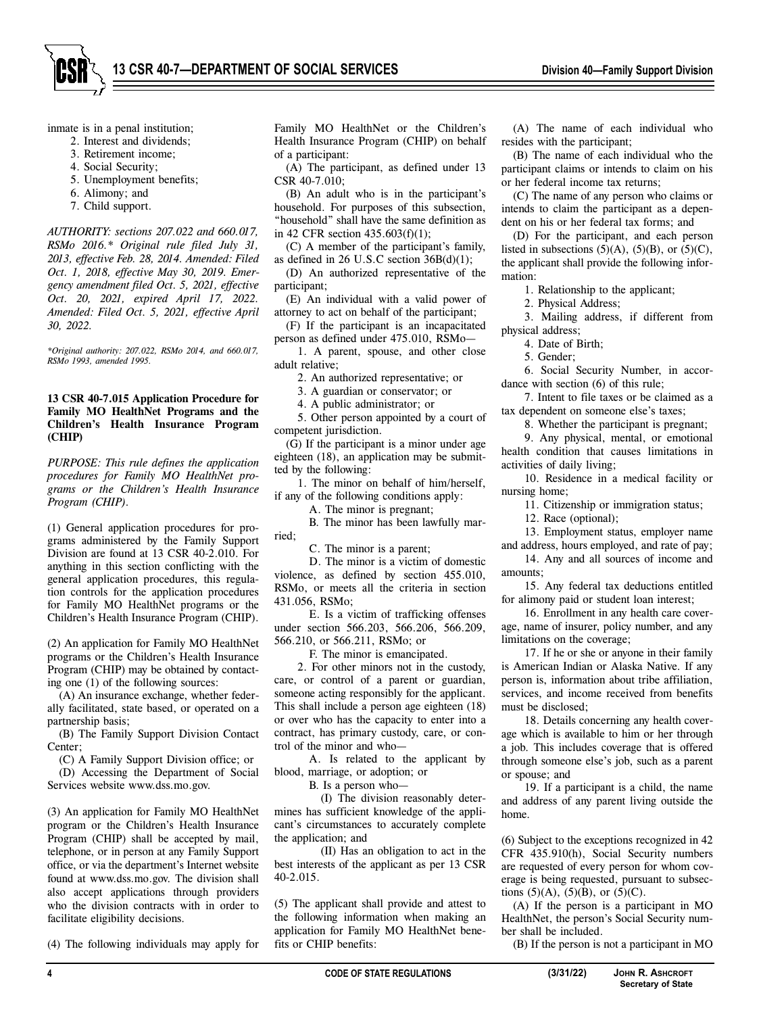

inmate is in a penal institution;

- 2. Interest and dividends;
- 3. Retirement income;
- 4. Social Security;
- 5. Unemployment benefits;
- 6. Alimony; and
- 7. Child support.

*AUTHORITY: sections 207.022 and 660.017, RSMo 2016.\* Original rule filed July 31, 2013, effective Feb. 28, 2014. Amended: Filed Oct. 1, 2018, effective May 30, 2019. Emergency amendment filed Oct. 5, 2021, effective Oct. 20, 2021, expired April 17, 2022. Amended: Filed Oct. 5, 2021, effective April 30, 2022.* 

*\*Original authority: 207.022, RSMo 2014, and 660.017, RSMo 1993, amended 1995.* 

#### **13 CSR 40-7.015 Application Procedure for Family MO HealthNet Programs and the Children's Health Insurance Program (CHIP)**

*PURPOSE: This rule defines the application procedures for Family MO HealthNet programs or the Children's Health Insurance Program (CHIP).* 

(1) General application procedures for programs administered by the Family Support Division are found at 13 CSR 40-2.010. For anything in this section conflicting with the general application procedures, this regulation controls for the application procedures for Family MO HealthNet programs or the Children's Health Insurance Program (CHIP).

(2) An application for Family MO HealthNet programs or the Children's Health Insurance Program (CHIP) may be obtained by contacting one (1) of the following sources:

(A) An insurance exchange, whether federally facilitated, state based, or operated on a partnership basis;

(B) The Family Support Division Contact Center;

(C) A Family Support Division office; or

(D) Accessing the Department of Social Services website www.dss.mo.gov.

(3) An application for Family MO HealthNet program or the Children's Health Insurance Program (CHIP) shall be accepted by mail, telephone, or in person at any Family Support office, or via the department's Internet website found at www.dss.mo.gov. The division shall also accept applications through providers who the division contracts with in order to facilitate eligibility decisions.

(4) The following individuals may apply for

Family MO HealthNet or the Children's Health Insurance Program (CHIP) on behalf of a participant:

(A) The participant, as defined under 13 CSR 40-7.010;

(B) An adult who is in the participant's household. For purposes of this subsection, "household" shall have the same definition as in 42 CFR section 435.603(f)(1);

(C) A member of the participant's family, as defined in 26 U.S.C section 36B(d)(1);

(D) An authorized representative of the participant;

(E) An individual with a valid power of attorney to act on behalf of the participant;

(F) If the participant is an incapacitated

person as defined under 475.010, RSMo— 1. A parent, spouse, and other close

adult relative; 2. An authorized representative; or

3. A guardian or conservator; or

4. A public administrator; or

5. Other person appointed by a court of competent jurisdiction.

(G) If the participant is a minor under age eighteen (18), an application may be submitted by the following:

1. The minor on behalf of him/herself, if any of the following conditions apply:

A. The minor is pregnant;

B. The minor has been lawfully married;

C. The minor is a parent;

D. The minor is a victim of domestic violence, as defined by section 455.010, RSMo, or meets all the criteria in section 431.056, RSMo;

E. Is a victim of trafficking offenses under section 566.203, 566.206, 566.209, 566.210, or 566.211, RSMo; or

F. The minor is emancipated.

2. For other minors not in the custody, care, or control of a parent or guardian, someone acting responsibly for the applicant. This shall include a person age eighteen (18) or over who has the capacity to enter into a contract, has primary custody, care, or control of the minor and who—

A. Is related to the applicant by blood, marriage, or adoption; or

B. Is a person who—

(I) The division reasonably determines has sufficient knowledge of the applicant's circumstances to accurately complete the application; and

(II) Has an obligation to act in the best interests of the applicant as per 13 CSR 40-2.015.

(5) The applicant shall provide and attest to the following information when making an application for Family MO HealthNet benefits or CHIP benefits:

(A) The name of each individual who resides with the participant;

(B) The name of each individual who the participant claims or intends to claim on his or her federal income tax returns;

(C) The name of any person who claims or intends to claim the participant as a dependent on his or her federal tax forms; and

(D) For the participant, and each person listed in subsections  $(5)(A)$ ,  $(5)(B)$ , or  $(5)(C)$ , the applicant shall provide the following information:

1. Relationship to the applicant;

2. Physical Address;

3. Mailing address, if different from physical address;

4. Date of Birth;

5. Gender;

6. Social Security Number, in accordance with section (6) of this rule;

7. Intent to file taxes or be claimed as a tax dependent on someone else's taxes;

8. Whether the participant is pregnant;

9. Any physical, mental, or emotional health condition that causes limitations in activities of daily living;

10. Residence in a medical facility or nursing home;

11. Citizenship or immigration status;

12. Race (optional);

13. Employment status, employer name and address, hours employed, and rate of pay;

14. Any and all sources of income and amounts;

15. Any federal tax deductions entitled for alimony paid or student loan interest;

16. Enrollment in any health care coverage, name of insurer, policy number, and any limitations on the coverage;

17. If he or she or anyone in their family is American Indian or Alaska Native. If any person is, information about tribe affiliation, services, and income received from benefits must be disclosed;

18. Details concerning any health coverage which is available to him or her through a job. This includes coverage that is offered through someone else's job, such as a parent or spouse; and

19. If a participant is a child, the name and address of any parent living outside the home.

(6) Subject to the exceptions recognized in 42 CFR 435.910(h), Social Security numbers are requested of every person for whom coverage is being requested, pursuant to subsections  $(5)(A)$ ,  $(5)(B)$ , or  $(5)(C)$ .

(A) If the person is a participant in MO HealthNet, the person's Social Security number shall be included.

(B) If the person is not a participant in MO

**Secretary of State**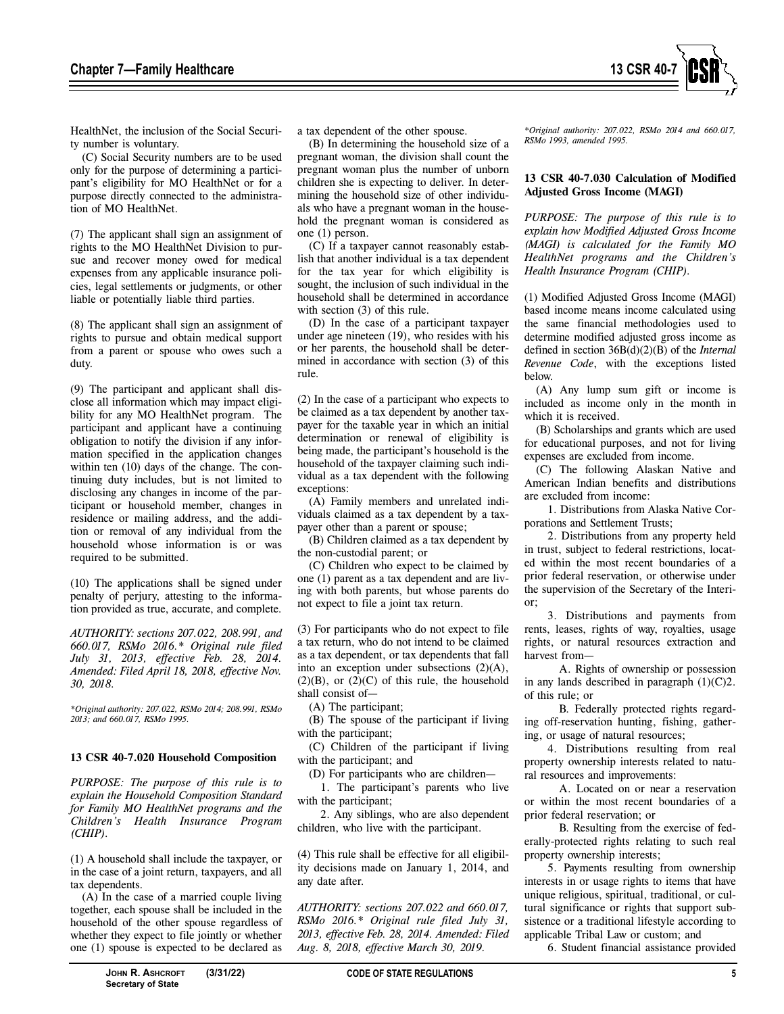

HealthNet, the inclusion of the Social Security number is voluntary.

(C) Social Security numbers are to be used only for the purpose of determining a participant's eligibility for MO HealthNet or for a purpose directly connected to the administration of MO HealthNet.

(7) The applicant shall sign an assignment of rights to the MO HealthNet Division to pursue and recover money owed for medical expenses from any applicable insurance policies, legal settlements or judgments, or other liable or potentially liable third parties.

(8) The applicant shall sign an assignment of rights to pursue and obtain medical support from a parent or spouse who owes such a duty.

(9) The participant and applicant shall disclose all information which may impact eligibility for any MO HealthNet program. The participant and applicant have a continuing obligation to notify the division if any information specified in the application changes within ten (10) days of the change. The continuing duty includes, but is not limited to disclosing any changes in income of the participant or household member, changes in residence or mailing address, and the addition or removal of any individual from the household whose information is or was required to be submitted.

(10) The applications shall be signed under penalty of perjury, attesting to the information provided as true, accurate, and complete.

*AUTHORITY: sections 207.022, 208.991, and 660.017, RSMo 2016.\* Original rule filed July 31, 2013, effective Feb. 28, 2014. Amended: Filed April 18, 2018, effective Nov. 30, 2018.* 

*\*Original authority: 207.022, RSMo 2014; 208.991, RSMo 2013; and 660.017, RSMo 1995.* 

#### **13 CSR 40-7.020 Household Composition**

*PURPOSE: The purpose of this rule is to explain the Household Composition Standard for Family MO HealthNet programs and the Children's Health Insurance Program (CHIP).* 

(1) A household shall include the taxpayer, or in the case of a joint return, taxpayers, and all tax dependents.

(A) In the case of a married couple living together, each spouse shall be included in the household of the other spouse regardless of whether they expect to file jointly or whether one (1) spouse is expected to be declared as

a tax dependent of the other spouse.

(B) In determining the household size of a pregnant woman, the division shall count the pregnant woman plus the number of unborn children she is expecting to deliver. In determining the household size of other individuals who have a pregnant woman in the household the pregnant woman is considered as one (1) person.

(C) If a taxpayer cannot reasonably establish that another individual is a tax dependent for the tax year for which eligibility is sought, the inclusion of such individual in the household shall be determined in accordance with section (3) of this rule.

(D) In the case of a participant taxpayer under age nineteen (19), who resides with his or her parents, the household shall be determined in accordance with section (3) of this rule.

(2) In the case of a participant who expects to be claimed as a tax dependent by another taxpayer for the taxable year in which an initial determination or renewal of eligibility is being made, the participant's household is the household of the taxpayer claiming such individual as a tax dependent with the following exceptions:

(A) Family members and unrelated individuals claimed as a tax dependent by a taxpayer other than a parent or spouse;

(B) Children claimed as a tax dependent by the non-custodial parent; or

(C) Children who expect to be claimed by one (1) parent as a tax dependent and are living with both parents, but whose parents do not expect to file a joint tax return.

(3) For participants who do not expect to file a tax return, who do not intend to be claimed as a tax dependent, or tax dependents that fall into an exception under subsections (2)(A),  $(2)(B)$ , or  $(2)(C)$  of this rule, the household shall consist of—

(A) The participant;

(B) The spouse of the participant if living with the participant;

(C) Children of the participant if living with the participant; and

(D) For participants who are children—

1. The participant's parents who live with the participant;

2. Any siblings, who are also dependent children, who live with the participant.

(4) This rule shall be effective for all eligibility decisions made on January 1, 2014, and any date after.

*AUTHORITY: sections 207.022 and 660.017, RSMo 2016.\* Original rule filed July 31, 2013, effective Feb. 28, 2014. Amended: Filed Aug. 8, 2018, effective March 30, 2019.* 

*\*Original authority: 207.022, RSMo 2014 and 660.017, RSMo 1993, amended 1995.* 

## **13 CSR 40-7.030 Calculation of Modified Adjusted Gross Income (MAGI)**

*PURPOSE: The purpose of this rule is to explain how Modified Adjusted Gross Income (MAGI) is calculated for the Family MO HealthNet programs and the Children's Health Insurance Program (CHIP).* 

(1) Modified Adjusted Gross Income (MAGI) based income means income calculated using the same financial methodologies used to determine modified adjusted gross income as defined in section 36B(d)(2)(B) of the *Internal Revenue Code*, with the exceptions listed below.

(A) Any lump sum gift or income is included as income only in the month in which it is received.

(B) Scholarships and grants which are used for educational purposes, and not for living expenses are excluded from income.

(C) The following Alaskan Native and American Indian benefits and distributions are excluded from income:

1. Distributions from Alaska Native Corporations and Settlement Trusts;

2. Distributions from any property held in trust, subject to federal restrictions, located within the most recent boundaries of a prior federal reservation, or otherwise under the supervision of the Secretary of the Interior;

3. Distributions and payments from rents, leases, rights of way, royalties, usage rights, or natural resources extraction and harvest from—

A. Rights of ownership or possession in any lands described in paragraph  $(1)(C)2$ . of this rule; or

B. Federally protected rights regarding off-reservation hunting, fishing, gathering, or usage of natural resources;

4. Distributions resulting from real property ownership interests related to natural resources and improvements:

A. Located on or near a reservation or within the most recent boundaries of a prior federal reservation; or

B. Resulting from the exercise of federally-protected rights relating to such real property ownership interests;

5. Payments resulting from ownership interests in or usage rights to items that have unique religious, spiritual, traditional, or cultural significance or rights that support subsistence or a traditional lifestyle according to applicable Tribal Law or custom; and

6. Student financial assistance provided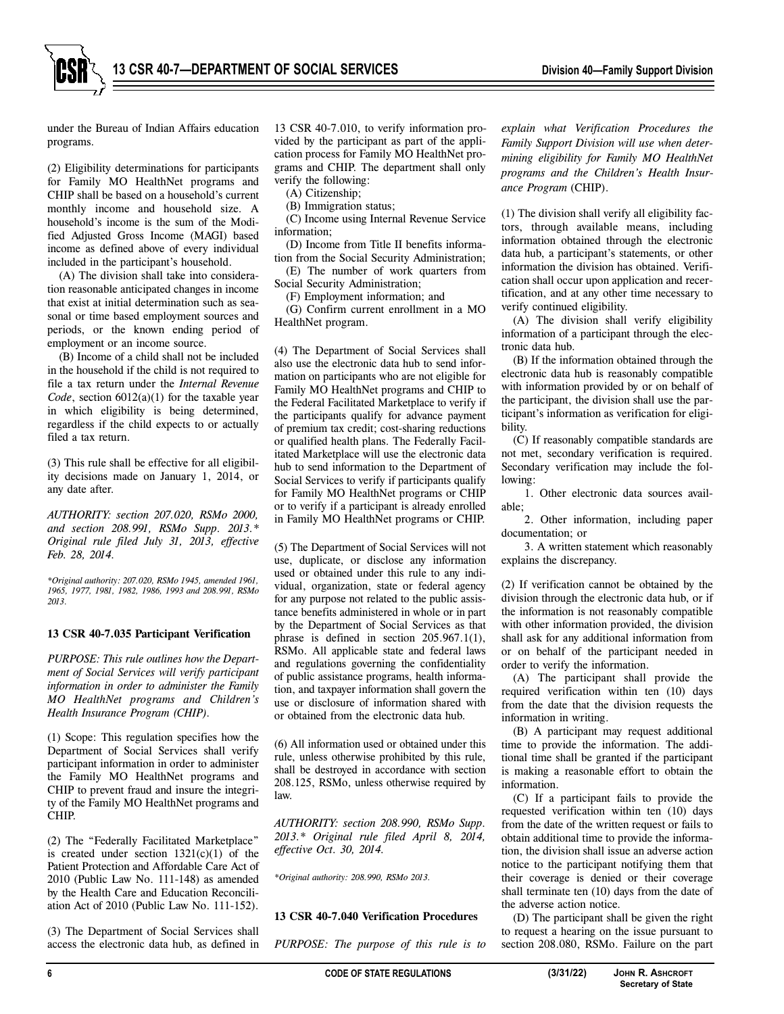

under the Bureau of Indian Affairs education programs.

(2) Eligibility determinations for participants for Family MO HealthNet programs and CHIP shall be based on a household's current monthly income and household size. A household's income is the sum of the Modified Adjusted Gross Income (MAGI) based income as defined above of every individual included in the participant's household.

(A) The division shall take into consideration reasonable anticipated changes in income that exist at initial determination such as seasonal or time based employment sources and periods, or the known ending period of employment or an income source.

(B) Income of a child shall not be included in the household if the child is not required to file a tax return under the *Internal Revenue Code*, section 6012(a)(1) for the taxable year in which eligibility is being determined, regardless if the child expects to or actually filed a tax return.

(3) This rule shall be effective for all eligibility decisions made on January 1, 2014, or any date after.

*AUTHORITY: section 207.020, RSMo 2000, and section 208.991, RSMo Supp. 2013.\* Original rule filed July 31, 2013, effective Feb. 28, 2014.* 

*\*Original authority: 207.020, RSMo 1945, amended 1961, 1965, 1977, 1981, 1982, 1986, 1993 and 208.991, RSMo 2013.* 

#### **13 CSR 40-7.035 Participant Verification**

*PURPOSE: This rule outlines how the Department of Social Services will verify participant information in order to administer the Family MO HealthNet programs and Children's Health Insurance Program (CHIP).* 

(1) Scope: This regulation specifies how the Department of Social Services shall verify participant information in order to administer the Family MO HealthNet programs and CHIP to prevent fraud and insure the integrity of the Family MO HealthNet programs and CHIP.

(2) The "Federally Facilitated Marketplace" is created under section  $1321(c)(1)$  of the Patient Protection and Affordable Care Act of 2010 (Public Law No. 111-148) as amended by the Health Care and Education Reconciliation Act of 2010 (Public Law No. 111-152).

(3) The Department of Social Services shall access the electronic data hub, as defined in 13 CSR 40-7.010, to verify information provided by the participant as part of the application process for Family MO HealthNet programs and CHIP. The department shall only verify the following:

(A) Citizenship;

(B) Immigration status;

(C) Income using Internal Revenue Service information;

(D) Income from Title II benefits information from the Social Security Administration;

(E) The number of work quarters from Social Security Administration;

(F) Employment information; and

(G) Confirm current enrollment in a MO HealthNet program.

(4) The Department of Social Services shall also use the electronic data hub to send information on participants who are not eligible for Family MO HealthNet programs and CHIP to the Federal Facilitated Marketplace to verify if the participants qualify for advance payment of premium tax credit; cost-sharing reductions or qualified health plans. The Federally Facilitated Marketplace will use the electronic data hub to send information to the Department of Social Services to verify if participants qualify for Family MO HealthNet programs or CHIP or to verify if a participant is already enrolled in Family MO HealthNet programs or CHIP.

(5) The Department of Social Services will not use, duplicate, or disclose any information used or obtained under this rule to any individual, organization, state or federal agency for any purpose not related to the public assistance benefits administered in whole or in part by the Department of Social Services as that phrase is defined in section 205.967.1(1), RSMo. All applicable state and federal laws and regulations governing the confidentiality of public assistance programs, health information, and taxpayer information shall govern the use or disclosure of information shared with or obtained from the electronic data hub.

(6) All information used or obtained under this rule, unless otherwise prohibited by this rule, shall be destroyed in accordance with section 208.125, RSMo, unless otherwise required by law.

*AUTHORITY: section 208.990, RSMo Supp. 2013.\* Original rule filed April 8, 2014, effective Oct. 30, 2014.* 

*\*Original authority: 208.990, RSMo 2013.*

#### **13 CSR 40-7.040 Verification Procedures**

*PURPOSE: The purpose of this rule is to* 

*explain what Verification Procedures the Family Support Division will use when determining eligibility for Family MO HealthNet programs and the Children's Health Insurance Program* (CHIP).

(1) The division shall verify all eligibility factors, through available means, including information obtained through the electronic data hub, a participant's statements, or other information the division has obtained. Verification shall occur upon application and recertification, and at any other time necessary to verify continued eligibility.

(A) The division shall verify eligibility information of a participant through the electronic data hub.

(B) If the information obtained through the electronic data hub is reasonably compatible with information provided by or on behalf of the participant, the division shall use the participant's information as verification for eligibility.

(C) If reasonably compatible standards are not met, secondary verification is required. Secondary verification may include the following:

1. Other electronic data sources available;

2. Other information, including paper documentation; or

3. A written statement which reasonably explains the discrepancy.

(2) If verification cannot be obtained by the division through the electronic data hub, or if the information is not reasonably compatible with other information provided, the division shall ask for any additional information from or on behalf of the participant needed in order to verify the information.

(A) The participant shall provide the required verification within ten (10) days from the date that the division requests the information in writing.

(B) A participant may request additional time to provide the information. The additional time shall be granted if the participant is making a reasonable effort to obtain the information.

(C) If a participant fails to provide the requested verification within ten (10) days from the date of the written request or fails to obtain additional time to provide the information, the division shall issue an adverse action notice to the participant notifying them that their coverage is denied or their coverage shall terminate ten (10) days from the date of the adverse action notice.

(D) The participant shall be given the right to request a hearing on the issue pursuant to section 208.080, RSMo. Failure on the part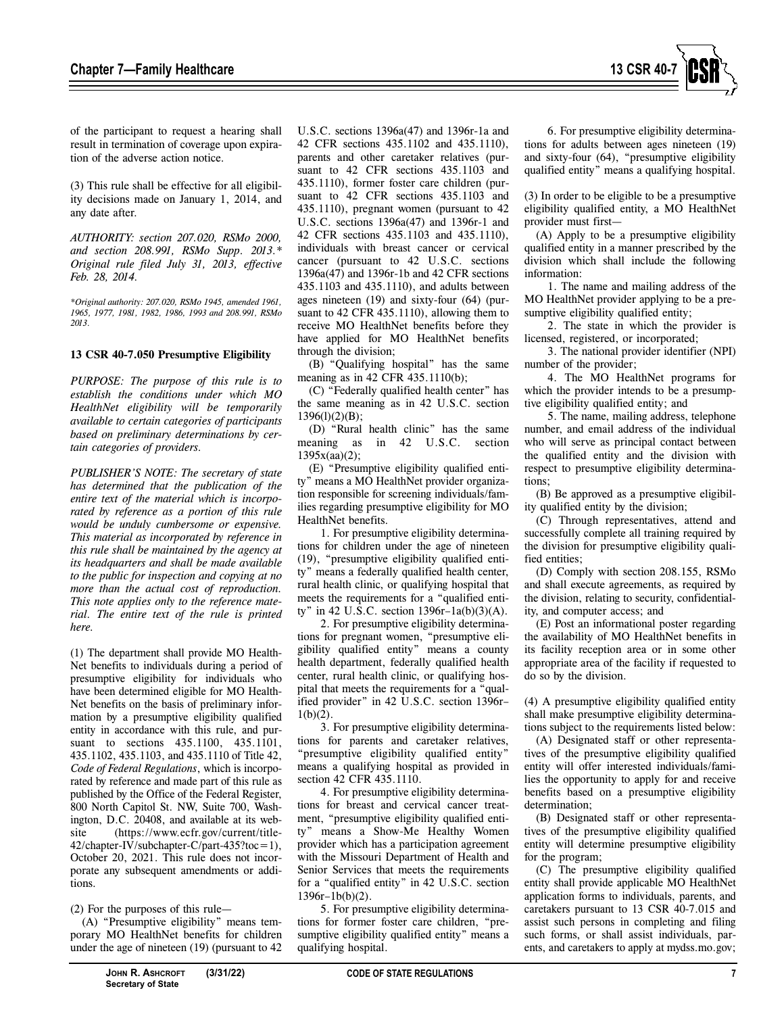

of the participant to request a hearing shall result in termination of coverage upon expiration of the adverse action notice.

(3) This rule shall be effective for all eligibility decisions made on January 1, 2014, and any date after.

*AUTHORITY: section 207.020, RSMo 2000, and section 208.991, RSMo Supp. 2013.\* Original rule filed July 31, 2013, effective Feb. 28, 2014.* 

*\*Original authority: 207.020, RSMo 1945, amended 1961, 1965, 1977, 1981, 1982, 1986, 1993 and 208.991, RSMo 2013.* 

#### **13 CSR 40-7.050 Presumptive Eligibility**

*PURPOSE: The purpose of this rule is to establish the conditions under which MO HealthNet eligibility will be temporarily available to certain categories of participants based on preliminary determinations by certain categories of providers.*

*PUBLISHER'S NOTE: The secretary of state has determined that the publication of the entire text of the material which is incorporated by reference as a portion of this rule would be unduly cumbersome or expensive. This material as incorporated by reference in this rule shall be maintained by the agency at its headquarters and shall be made available to the public for inspection and copying at no more than the actual cost of reproduction. This note applies only to the reference material. The entire text of the rule is printed here.* 

(1) The department shall provide MO Health-Net benefits to individuals during a period of presumptive eligibility for individuals who have been determined eligible for MO Health-Net benefits on the basis of preliminary information by a presumptive eligibility qualified entity in accordance with this rule, and pursuant to sections 435.1100, 435.1101, 435.1102, 435.1103, and 435.1110 of Title 42, *Code of Federal Regulations*, which is incorporated by reference and made part of this rule as published by the Office of the Federal Register, 800 North Capitol St. NW, Suite 700, Washington, D.C. 20408, and available at its website (https://www.ecfr.gov/current/title-42/chapter-IV/subchapter-C/part-435?toc=1), October 20, 2021. This rule does not incorporate any subsequent amendments or additions.

(2) For the purposes of this rule—

(A) "Presumptive eligibility" means temporary MO HealthNet benefits for children under the age of nineteen (19) (pursuant to 42 U.S.C. sections 1396a(47) and 1396r-1a and 42 CFR sections 435.1102 and 435.1110), parents and other caretaker relatives (pursuant to 42 CFR sections 435.1103 and 435.1110), former foster care children (pursuant to 42 CFR sections 435.1103 and 435.1110), pregnant women (pursuant to 42 U.S.C. sections 1396a(47) and 1396r-1 and 42 CFR sections 435.1103 and 435.1110), individuals with breast cancer or cervical cancer (pursuant to 42 U.S.C. sections 1396a(47) and 1396r-1b and 42 CFR sections 435.1103 and 435.1110), and adults between ages nineteen (19) and sixty-four (64) (pursuant to 42 CFR 435.1110), allowing them to receive MO HealthNet benefits before they have applied for MO HealthNet benefits through the division;

(B) "Qualifying hospital" has the same meaning as in 42 CFR 435.1110(b);

(C) "Federally qualified health center" has the same meaning as in 42 U.S.C. section 1396(l)(2)(B);

(D) "Rural health clinic" has the same meaning as in 42 U.S.C. section 1395x(aa)(2);

(E) "Presumptive eligibility qualified entity" means a MO HealthNet provider organization responsible for screening individuals/families regarding presumptive eligibility for MO HealthNet benefits.

1. For presumptive eligibility determinations for children under the age of nineteen (19), "presumptive eligibility qualified entity" means a federally qualified health center, rural health clinic, or qualifying hospital that meets the requirements for a "qualified entity" in 42 U.S.C. section 1396r–1a(b)(3)(A).

2. For presumptive eligibility determinations for pregnant women, "presumptive eligibility qualified entity" means a county health department, federally qualified health center, rural health clinic, or qualifying hospital that meets the requirements for a "qualified provider" in 42 U.S.C. section 1396r–  $1(b)(2)$ .

3. For presumptive eligibility determinations for parents and caretaker relatives, "presumptive eligibility qualified entity" means a qualifying hospital as provided in section 42 CFR 435.1110.

4. For presumptive eligibility determinations for breast and cervical cancer treatment, "presumptive eligibility qualified entity" means a Show-Me Healthy Women provider which has a participation agreement with the Missouri Department of Health and Senior Services that meets the requirements for a "qualified entity" in 42 U.S.C. section 1396r–1b(b)(2).

5. For presumptive eligibility determinations for former foster care children, "presumptive eligibility qualified entity" means a qualifying hospital.

6. For presumptive eligibility determinations for adults between ages nineteen (19) and sixty-four (64), "presumptive eligibility qualified entity" means a qualifying hospital.

(3) In order to be eligible to be a presumptive eligibility qualified entity, a MO HealthNet provider must first—

(A) Apply to be a presumptive eligibility qualified entity in a manner prescribed by the division which shall include the following information:

1. The name and mailing address of the MO HealthNet provider applying to be a presumptive eligibility qualified entity;

2. The state in which the provider is licensed, registered, or incorporated;

3. The national provider identifier (NPI) number of the provider;

4. The MO HealthNet programs for which the provider intends to be a presumptive eligibility qualified entity; and

5. The name, mailing address, telephone number, and email address of the individual who will serve as principal contact between the qualified entity and the division with respect to presumptive eligibility determinations;

(B) Be approved as a presumptive eligibility qualified entity by the division;

(C) Through representatives, attend and successfully complete all training required by the division for presumptive eligibility qualified entities;

(D) Comply with section 208.155, RSMo and shall execute agreements, as required by the division, relating to security, confidentiality, and computer access; and

(E) Post an informational poster regarding the availability of MO HealthNet benefits in its facility reception area or in some other appropriate area of the facility if requested to do so by the division.

(4) A presumptive eligibility qualified entity shall make presumptive eligibility determinations subject to the requirements listed below:

(A) Designated staff or other representatives of the presumptive eligibility qualified entity will offer interested individuals/families the opportunity to apply for and receive benefits based on a presumptive eligibility determination;

(B) Designated staff or other representatives of the presumptive eligibility qualified entity will determine presumptive eligibility for the program;

(C) The presumptive eligibility qualified entity shall provide applicable MO HealthNet application forms to individuals, parents, and caretakers pursuant to 13 CSR 40-7.015 and assist such persons in completing and filing such forms, or shall assist individuals, parents, and caretakers to apply at mydss.mo.gov;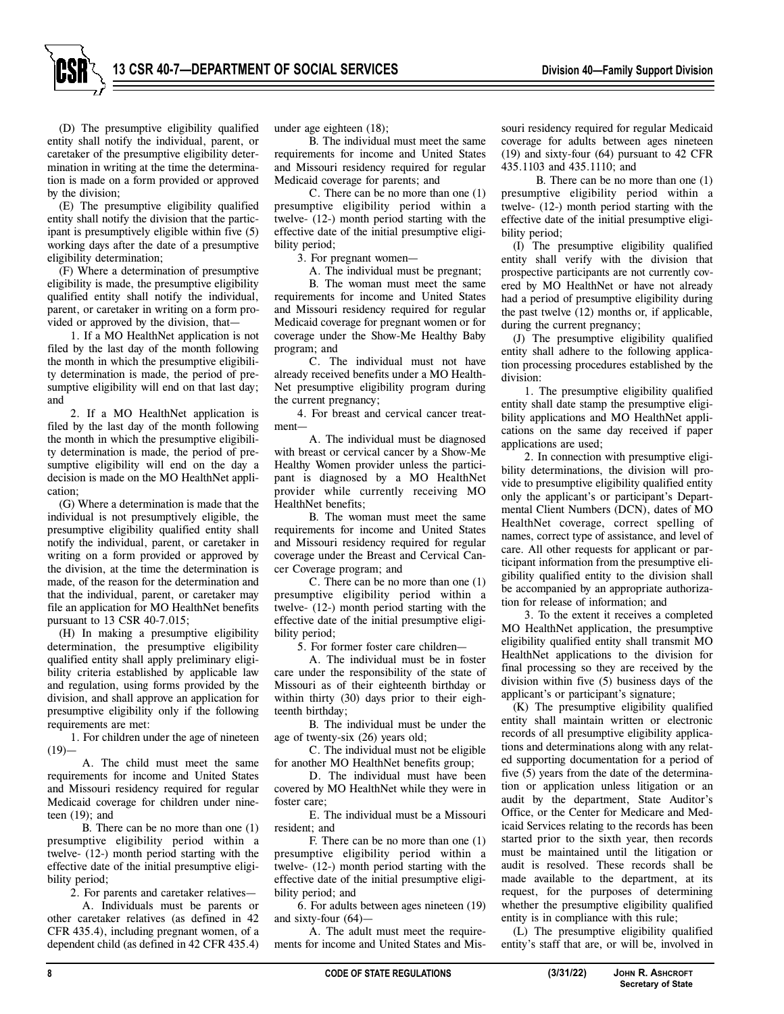

(D) The presumptive eligibility qualified entity shall notify the individual, parent, or caretaker of the presumptive eligibility determination in writing at the time the determination is made on a form provided or approved by the division;

(E) The presumptive eligibility qualified entity shall notify the division that the participant is presumptively eligible within five (5) working days after the date of a presumptive eligibility determination;

(F) Where a determination of presumptive eligibility is made, the presumptive eligibility qualified entity shall notify the individual, parent, or caretaker in writing on a form provided or approved by the division, that—

1. If a MO HealthNet application is not filed by the last day of the month following the month in which the presumptive eligibility determination is made, the period of presumptive eligibility will end on that last day; and

2. If a MO HealthNet application is filed by the last day of the month following the month in which the presumptive eligibility determination is made, the period of presumptive eligibility will end on the day a decision is made on the MO HealthNet application;

(G) Where a determination is made that the individual is not presumptively eligible, the presumptive eligibility qualified entity shall notify the individual, parent, or caretaker in writing on a form provided or approved by the division, at the time the determination is made, of the reason for the determination and that the individual, parent, or caretaker may file an application for MO HealthNet benefits pursuant to 13 CSR 40-7.015;

(H) In making a presumptive eligibility determination, the presumptive eligibility qualified entity shall apply preliminary eligibility criteria established by applicable law and regulation, using forms provided by the division, and shall approve an application for presumptive eligibility only if the following requirements are met:

1. For children under the age of nineteen  $(19)$ 

A. The child must meet the same requirements for income and United States and Missouri residency required for regular Medicaid coverage for children under nineteen (19); and

B. There can be no more than one (1) presumptive eligibility period within a twelve- (12-) month period starting with the effective date of the initial presumptive eligibility period;

2. For parents and caretaker relatives—

A. Individuals must be parents or other caretaker relatives (as defined in 42 CFR 435.4), including pregnant women, of a dependent child (as defined in 42 CFR 435.4)

under age eighteen (18);

B. The individual must meet the same requirements for income and United States and Missouri residency required for regular Medicaid coverage for parents; and

C. There can be no more than one (1) presumptive eligibility period within a twelve- (12-) month period starting with the effective date of the initial presumptive eligibility period;

3. For pregnant women—

A. The individual must be pregnant; B. The woman must meet the same requirements for income and United States and Missouri residency required for regular Medicaid coverage for pregnant women or for coverage under the Show-Me Healthy Baby program; and

C. The individual must not have already received benefits under a MO Health-Net presumptive eligibility program during the current pregnancy;

4. For breast and cervical cancer treatment—

A. The individual must be diagnosed with breast or cervical cancer by a Show-Me Healthy Women provider unless the participant is diagnosed by a MO HealthNet provider while currently receiving MO HealthNet benefits;

B. The woman must meet the same requirements for income and United States and Missouri residency required for regular coverage under the Breast and Cervical Cancer Coverage program; and

C. There can be no more than one (1) presumptive eligibility period within a twelve- (12-) month period starting with the effective date of the initial presumptive eligibility period;

5. For former foster care children—

A. The individual must be in foster care under the responsibility of the state of Missouri as of their eighteenth birthday or within thirty (30) days prior to their eighteenth birthday;

B. The individual must be under the age of twenty-six (26) years old;

C. The individual must not be eligible for another MO HealthNet benefits group;

D. The individual must have been covered by MO HealthNet while they were in foster care;

E. The individual must be a Missouri resident; and

F. There can be no more than one (1) presumptive eligibility period within a twelve- (12-) month period starting with the effective date of the initial presumptive eligibility period; and

6. For adults between ages nineteen (19) and sixty-four (64)—

A. The adult must meet the requirements for income and United States and Mis-

souri residency required for regular Medicaid coverage for adults between ages nineteen (19) and sixty-four (64) pursuant to 42 CFR 435.1103 and 435.1110; and

B. There can be no more than one (1) presumptive eligibility period within a twelve- (12-) month period starting with the effective date of the initial presumptive eligibility period;

(I) The presumptive eligibility qualified entity shall verify with the division that prospective participants are not currently covered by MO HealthNet or have not already had a period of presumptive eligibility during the past twelve (12) months or, if applicable, during the current pregnancy;

(J) The presumptive eligibility qualified entity shall adhere to the following application processing procedures established by the division:

1. The presumptive eligibility qualified entity shall date stamp the presumptive eligibility applications and MO HealthNet applications on the same day received if paper applications are used;

2. In connection with presumptive eligibility determinations, the division will provide to presumptive eligibility qualified entity only the applicant's or participant's Departmental Client Numbers (DCN), dates of MO HealthNet coverage, correct spelling of names, correct type of assistance, and level of care. All other requests for applicant or participant information from the presumptive eligibility qualified entity to the division shall be accompanied by an appropriate authorization for release of information; and

3. To the extent it receives a completed MO HealthNet application, the presumptive eligibility qualified entity shall transmit MO HealthNet applications to the division for final processing so they are received by the division within five (5) business days of the applicant's or participant's signature;

(K) The presumptive eligibility qualified entity shall maintain written or electronic records of all presumptive eligibility applications and determinations along with any related supporting documentation for a period of five (5) years from the date of the determination or application unless litigation or an audit by the department, State Auditor's Office, or the Center for Medicare and Medicaid Services relating to the records has been started prior to the sixth year, then records must be maintained until the litigation or audit is resolved. These records shall be made available to the department, at its request, for the purposes of determining whether the presumptive eligibility qualified entity is in compliance with this rule;

(L) The presumptive eligibility qualified entity's staff that are, or will be, involved in

**Secretary of State**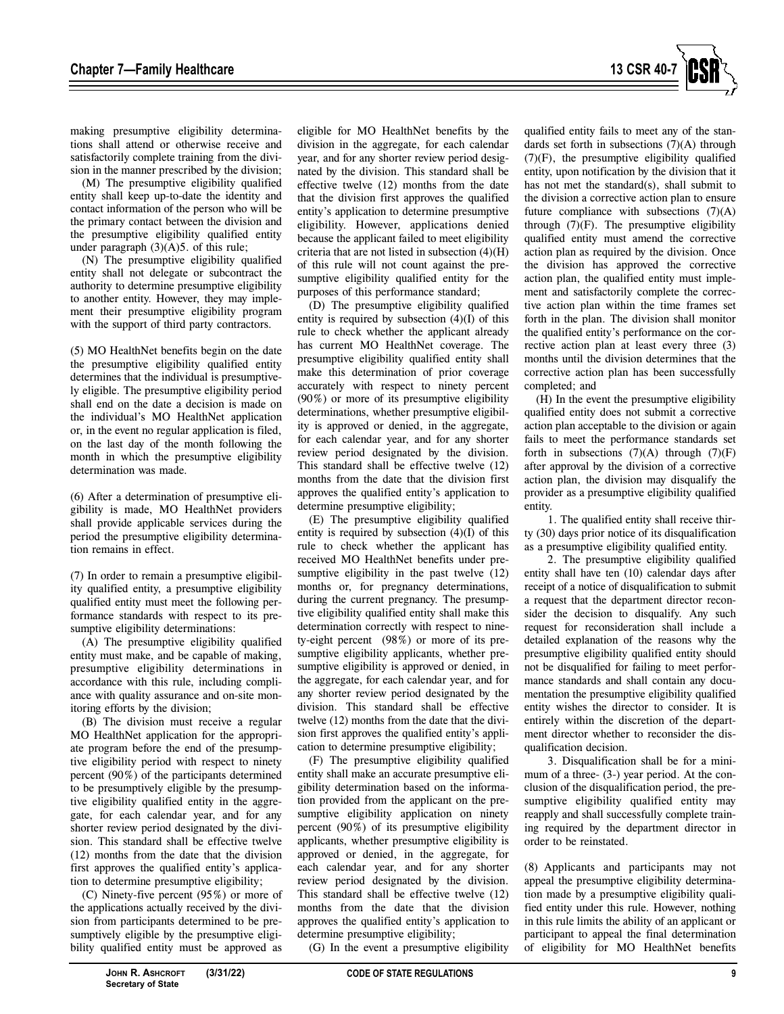

making presumptive eligibility determinations shall attend or otherwise receive and satisfactorily complete training from the division in the manner prescribed by the division;

(M) The presumptive eligibility qualified entity shall keep up-to-date the identity and contact information of the person who will be the primary contact between the division and the presumptive eligibility qualified entity under paragraph (3)(A)5. of this rule;

(N) The presumptive eligibility qualified entity shall not delegate or subcontract the authority to determine presumptive eligibility to another entity. However, they may implement their presumptive eligibility program with the support of third party contractors.

(5) MO HealthNet benefits begin on the date the presumptive eligibility qualified entity determines that the individual is presumptively eligible. The presumptive eligibility period shall end on the date a decision is made on the individual's MO HealthNet application or, in the event no regular application is filed, on the last day of the month following the month in which the presumptive eligibility determination was made.

(6) After a determination of presumptive eligibility is made, MO HealthNet providers shall provide applicable services during the period the presumptive eligibility determination remains in effect.

(7) In order to remain a presumptive eligibility qualified entity, a presumptive eligibility qualified entity must meet the following performance standards with respect to its presumptive eligibility determinations:

(A) The presumptive eligibility qualified entity must make, and be capable of making, presumptive eligibility determinations in accordance with this rule, including compliance with quality assurance and on-site monitoring efforts by the division;

(B) The division must receive a regular MO HealthNet application for the appropriate program before the end of the presumptive eligibility period with respect to ninety percent (90%) of the participants determined to be presumptively eligible by the presumptive eligibility qualified entity in the aggregate, for each calendar year, and for any shorter review period designated by the division. This standard shall be effective twelve (12) months from the date that the division first approves the qualified entity's application to determine presumptive eligibility;

(C) Ninety-five percent (95%) or more of the applications actually received by the division from participants determined to be presumptively eligible by the presumptive eligibility qualified entity must be approved as

eligible for MO HealthNet benefits by the division in the aggregate, for each calendar year, and for any shorter review period designated by the division. This standard shall be effective twelve (12) months from the date that the division first approves the qualified entity's application to determine presumptive eligibility. However, applications denied because the applicant failed to meet eligibility criteria that are not listed in subsection (4)(H) of this rule will not count against the presumptive eligibility qualified entity for the purposes of this performance standard;

(D) The presumptive eligibility qualified entity is required by subsection (4)(I) of this rule to check whether the applicant already has current MO HealthNet coverage. The presumptive eligibility qualified entity shall make this determination of prior coverage accurately with respect to ninety percent (90%) or more of its presumptive eligibility determinations, whether presumptive eligibility is approved or denied, in the aggregate, for each calendar year, and for any shorter review period designated by the division. This standard shall be effective twelve (12) months from the date that the division first approves the qualified entity's application to determine presumptive eligibility;

(E) The presumptive eligibility qualified entity is required by subsection  $(4)(I)$  of this rule to check whether the applicant has received MO HealthNet benefits under presumptive eligibility in the past twelve (12) months or, for pregnancy determinations, during the current pregnancy. The presumptive eligibility qualified entity shall make this determination correctly with respect to ninety-eight percent (98%) or more of its presumptive eligibility applicants, whether presumptive eligibility is approved or denied, in the aggregate, for each calendar year, and for any shorter review period designated by the division. This standard shall be effective twelve (12) months from the date that the division first approves the qualified entity's application to determine presumptive eligibility;

(F) The presumptive eligibility qualified entity shall make an accurate presumptive eligibility determination based on the information provided from the applicant on the presumptive eligibility application on ninety percent (90%) of its presumptive eligibility applicants, whether presumptive eligibility is approved or denied, in the aggregate, for each calendar year, and for any shorter review period designated by the division. This standard shall be effective twelve (12) months from the date that the division approves the qualified entity's application to determine presumptive eligibility;

(G) In the event a presumptive eligibility

qualified entity fails to meet any of the standards set forth in subsections  $(7)(A)$  through  $(7)(F)$ , the presumptive eligibility qualified entity, upon notification by the division that it has not met the standard(s), shall submit to the division a corrective action plan to ensure future compliance with subsections  $(7)(A)$ through  $(7)(F)$ . The presumptive eligibility qualified entity must amend the corrective action plan as required by the division. Once the division has approved the corrective action plan, the qualified entity must implement and satisfactorily complete the corrective action plan within the time frames set forth in the plan. The division shall monitor the qualified entity's performance on the corrective action plan at least every three (3) months until the division determines that the corrective action plan has been successfully completed; and

(H) In the event the presumptive eligibility qualified entity does not submit a corrective action plan acceptable to the division or again fails to meet the performance standards set forth in subsections  $(7)(A)$  through  $(7)(F)$ after approval by the division of a corrective action plan, the division may disqualify the provider as a presumptive eligibility qualified entity.

1. The qualified entity shall receive thirty (30) days prior notice of its disqualification as a presumptive eligibility qualified entity.

2. The presumptive eligibility qualified entity shall have ten (10) calendar days after receipt of a notice of disqualification to submit a request that the department director reconsider the decision to disqualify. Any such request for reconsideration shall include a detailed explanation of the reasons why the presumptive eligibility qualified entity should not be disqualified for failing to meet performance standards and shall contain any documentation the presumptive eligibility qualified entity wishes the director to consider. It is entirely within the discretion of the department director whether to reconsider the disqualification decision.

3. Disqualification shall be for a minimum of a three- (3-) year period. At the conclusion of the disqualification period, the presumptive eligibility qualified entity may reapply and shall successfully complete training required by the department director in order to be reinstated.

(8) Applicants and participants may not appeal the presumptive eligibility determination made by a presumptive eligibility qualified entity under this rule. However, nothing in this rule limits the ability of an applicant or participant to appeal the final determination of eligibility for MO HealthNet benefits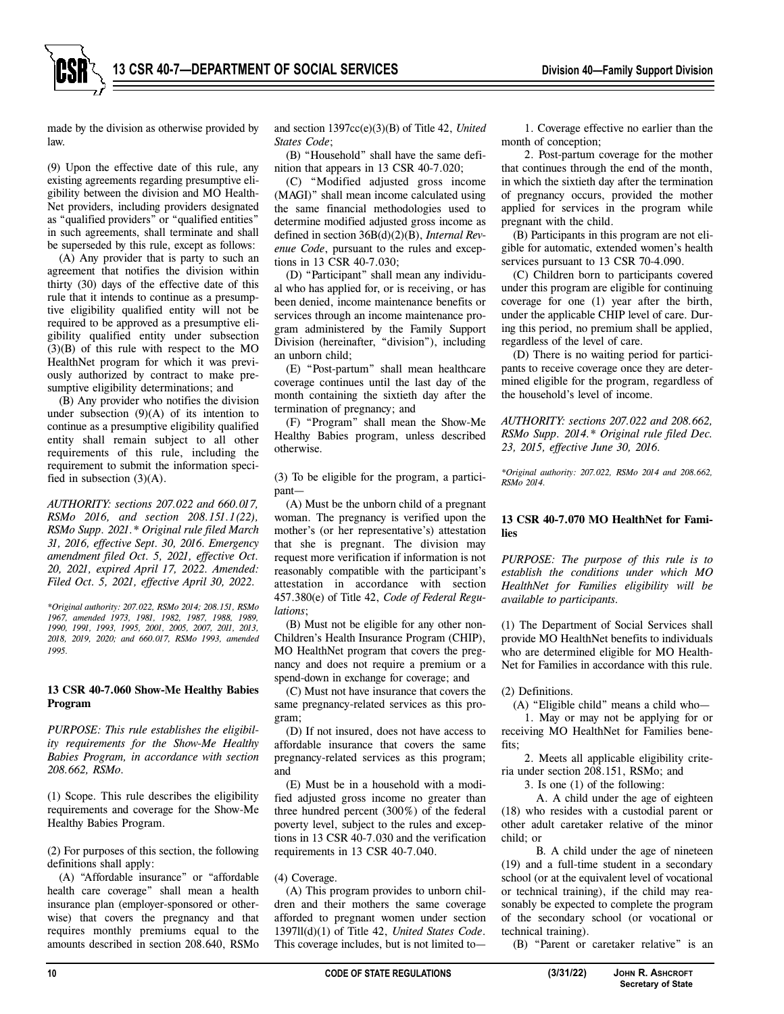made by the division as otherwise provided by law.

(9) Upon the effective date of this rule, any existing agreements regarding presumptive eligibility between the division and MO Health-Net providers, including providers designated as "qualified providers" or "qualified entities" in such agreements, shall terminate and shall be superseded by this rule, except as follows:

(A) Any provider that is party to such an agreement that notifies the division within thirty (30) days of the effective date of this rule that it intends to continue as a presumptive eligibility qualified entity will not be required to be approved as a presumptive eligibility qualified entity under subsection (3)(B) of this rule with respect to the MO HealthNet program for which it was previously authorized by contract to make presumptive eligibility determinations; and

(B) Any provider who notifies the division under subsection  $(9)(A)$  of its intention to continue as a presumptive eligibility qualified entity shall remain subject to all other requirements of this rule, including the requirement to submit the information specified in subsection  $(3)(A)$ .

*AUTHORITY: sections 207.022 and 660.017, RSMo 2016, and section 208.151.1(22), RSMo Supp. 2021.\* Original rule filed March 31, 2016, effective Sept. 30, 2016. Emergency amendment filed Oct. 5, 2021, effective Oct. 20, 2021, expired April 17, 2022. Amended: Filed Oct. 5, 2021, effective April 30, 2022.* 

*\*Original authority: 207.022, RSMo 2014; 208.151, RSMo 1967, amended 1973, 1981, 1982, 1987, 1988, 1989, 1990, 1991, 1993, 1995, 2001, 2005, 2007, 2011, 2013, 2018, 2019, 2020; and 660.017, RSMo 1993, amended 1995.*

#### **13 CSR 40-7.060 Show-Me Healthy Babies Program**

*PURPOSE: This rule establishes the eligibility requirements for the Show-Me Healthy Babies Program, in accordance with section 208.662, RSMo.* 

(1) Scope. This rule describes the eligibility requirements and coverage for the Show-Me Healthy Babies Program.

(2) For purposes of this section, the following definitions shall apply:

(A) "Affordable insurance" or "affordable health care coverage" shall mean a health insurance plan (employer-sponsored or otherwise) that covers the pregnancy and that requires monthly premiums equal to the amounts described in section 208.640, RSMo

and section 1397cc(e)(3)(B) of Title 42, *United States Code*;

(B) "Household" shall have the same definition that appears in 13 CSR 40-7.020;

(C) "Modified adjusted gross income (MAGI)" shall mean income calculated using the same financial methodologies used to determine modified adjusted gross income as defined in section 36B(d)(2)(B), *Internal Revenue Code*, pursuant to the rules and exceptions in 13 CSR 40-7.030;

(D) "Participant" shall mean any individual who has applied for, or is receiving, or has been denied, income maintenance benefits or services through an income maintenance program administered by the Family Support Division (hereinafter, "division"), including an unborn child;

(E) "Post-partum" shall mean healthcare coverage continues until the last day of the month containing the sixtieth day after the termination of pregnancy; and

(F) "Program" shall mean the Show-Me Healthy Babies program, unless described otherwise.

(3) To be eligible for the program, a participant—

(A) Must be the unborn child of a pregnant woman. The pregnancy is verified upon the mother's (or her representative's) attestation that she is pregnant. The division may request more verification if information is not reasonably compatible with the participant's attestation in accordance with section 457.380(e) of Title 42, *Code of Federal Regulations*;

(B) Must not be eligible for any other non-Children's Health Insurance Program (CHIP), MO HealthNet program that covers the pregnancy and does not require a premium or a spend-down in exchange for coverage; and

(C) Must not have insurance that covers the same pregnancy-related services as this program;

(D) If not insured, does not have access to affordable insurance that covers the same pregnancy-related services as this program; and

(E) Must be in a household with a modified adjusted gross income no greater than three hundred percent (300%) of the federal poverty level, subject to the rules and exceptions in 13 CSR 40-7.030 and the verification requirements in 13 CSR 40-7.040.

(4) Coverage.

(A) This program provides to unborn children and their mothers the same coverage afforded to pregnant women under section 1397ll(d)(1) of Title 42, *United States Code*. This coverage includes, but is not limited to—

1. Coverage effective no earlier than the month of conception;

2. Post-partum coverage for the mother that continues through the end of the month, in which the sixtieth day after the termination of pregnancy occurs, provided the mother applied for services in the program while pregnant with the child.

(B) Participants in this program are not eligible for automatic, extended women's health services pursuant to 13 CSR 70-4.090.

(C) Children born to participants covered under this program are eligible for continuing coverage for one (1) year after the birth, under the applicable CHIP level of care. During this period, no premium shall be applied, regardless of the level of care.

(D) There is no waiting period for participants to receive coverage once they are determined eligible for the program, regardless of the household's level of income.

*AUTHORITY: sections 207.022 and 208.662, RSMo Supp. 2014.\* Original rule filed Dec. 23, 2015, effective June 30, 2016.* 

*\*Original authority: 207.022, RSMo 2014 and 208.662, RSMo 2014.* 

## **13 CSR 40-7.070 MO HealthNet for Families**

*PURPOSE: The purpose of this rule is to establish the conditions under which MO HealthNet for Families eligibility will be available to participants.* 

(1) The Department of Social Services shall provide MO HealthNet benefits to individuals who are determined eligible for MO Health-Net for Families in accordance with this rule.

(2) Definitions.

(A) "Eligible child" means a child who—

1. May or may not be applying for or receiving MO HealthNet for Families benefits:

2. Meets all applicable eligibility criteria under section 208.151, RSMo; and

3. Is one (1) of the following:

A. A child under the age of eighteen (18) who resides with a custodial parent or other adult caretaker relative of the minor child; or

B. A child under the age of nineteen (19) and a full-time student in a secondary school (or at the equivalent level of vocational or technical training), if the child may reasonably be expected to complete the program of the secondary school (or vocational or technical training).

(B) "Parent or caretaker relative" is an